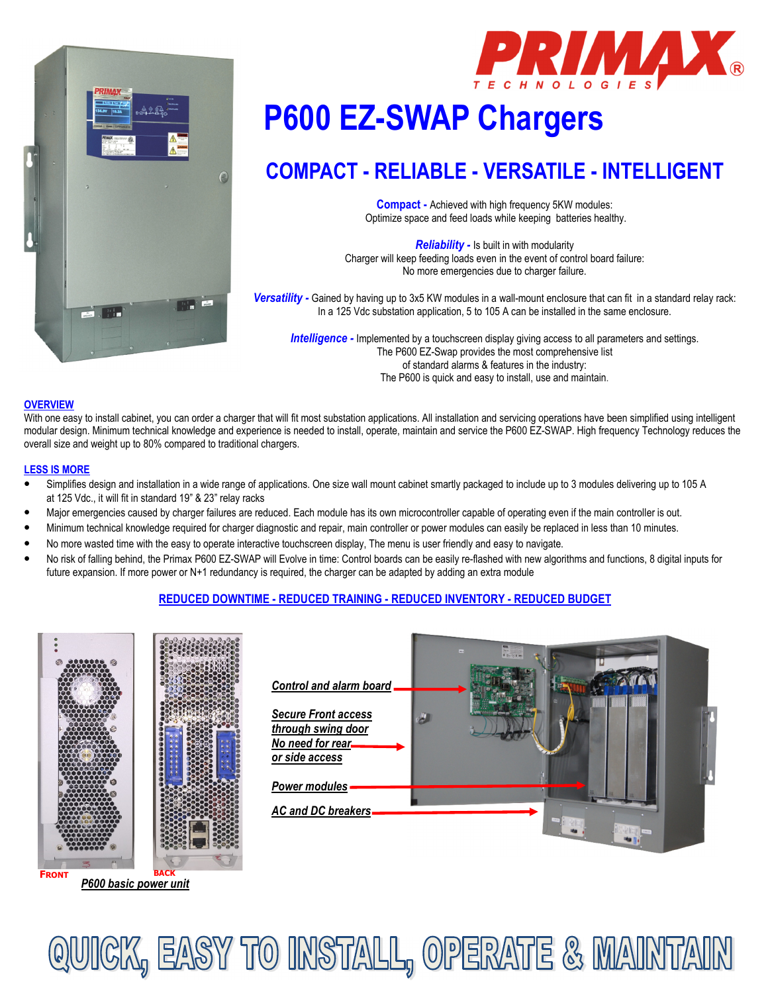



# $\frac{1}{2}$ **P600 EZ-SWAP Chargers**

## **COMPACT - RELIABLE - VERSATILE - INTELLIGENT**

**Compact -** Achieved with high frequency 5KW modules: Optimize space and feed loads while keeping batteries healthy.

*Reliability -* Is built in with modularity Charger will keep feeding loads even in the event of control board failure: No more emergencies due to charger failure.

*Versatility -* Gained by having up to 3x5 KW modules in a wall-mount enclosure that can fit in a standard relay rack: In a 125 Vdc substation application, 5 to 105 A can be installed in the same enclosure.

**Intelligence -** Implemented by a touchscreen display giving access to all parameters and settings. The P600 EZ-Swap provides the most comprehensive list of standard alarms & features in the industry: The P600 is quick and easy to install, use and maintain.

#### **OVERVIEW**

With one easy to install cabinet, you can order a charger that will fit most substation applications. All installation and servicing operations have been simplified using intelligent modular design. Minimum technical knowledge and experience is needed to install, operate, maintain and service the P600 EZ-SWAP. High frequency Technology reduces the overall size and weight up to 80% compared to traditional chargers.

#### **LESS IS MORE**

- Simplifies design and installation in a wide range of applications. One size wall mount cabinet smartly packaged to include up to 3 modules delivering up to 105 A at 125 Vdc., it will fit in standard 19" & 23" relay racks
- Major emergencies caused by charger failures are reduced. Each module has its own microcontroller capable of operating even if the main controller is out.
- Minimum technical knowledge required for charger diagnostic and repair, main controller or power modules can easily be replaced in less than 10 minutes.
- No more wasted time with the easy to operate interactive touchscreen display, The menu is user friendly and easy to navigate.
- No risk of falling behind, the Primax P600 EZ-SWAP will Evolve in time: Control boards can be easily re-flashed with new algorithms and functions, 8 digital inputs for future expansion. If more power or N+1 redundancy is required, the charger can be adapted by adding an extra module

#### **REDUCED DOWNTIME - REDUCED TRAINING - REDUCED INVENTORY - REDUCED BUDGET**





QUICK, EASY TO INSTALL, OPERATE & MAINTAIN